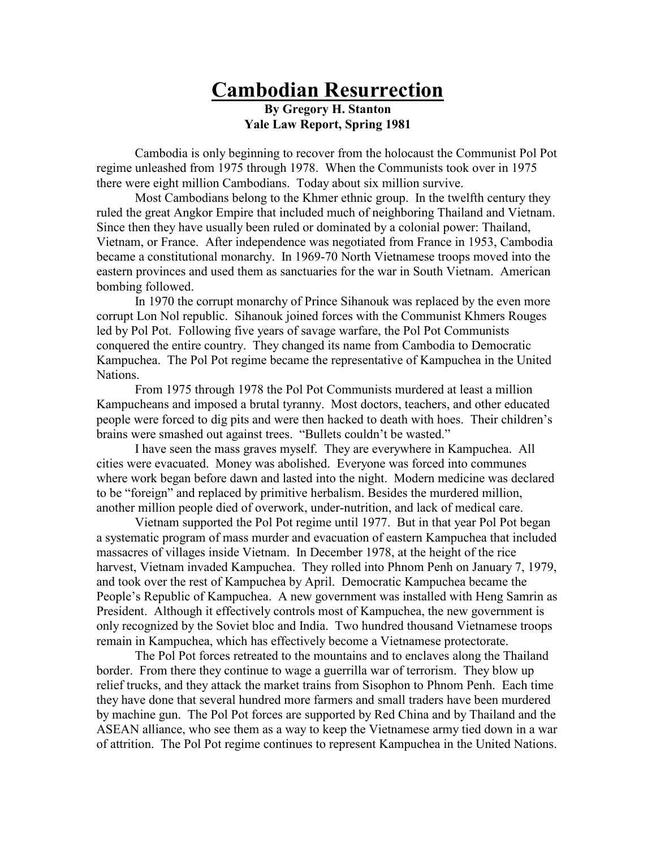## Cambodian Resurrection By Gregory H. Stanton

Yale Law Report, Spring 1981

 Cambodia is only beginning to recover from the holocaust the Communist Pol Pot regime unleashed from 1975 through 1978. When the Communists took over in 1975 there were eight million Cambodians. Today about six million survive.

 Most Cambodians belong to the Khmer ethnic group. In the twelfth century they ruled the great Angkor Empire that included much of neighboring Thailand and Vietnam. Since then they have usually been ruled or dominated by a colonial power: Thailand, Vietnam, or France. After independence was negotiated from France in 1953, Cambodia became a constitutional monarchy. In 1969-70 North Vietnamese troops moved into the eastern provinces and used them as sanctuaries for the war in South Vietnam. American bombing followed.

 In 1970 the corrupt monarchy of Prince Sihanouk was replaced by the even more corrupt Lon Nol republic. Sihanouk joined forces with the Communist Khmers Rouges led by Pol Pot. Following five years of savage warfare, the Pol Pot Communists conquered the entire country. They changed its name from Cambodia to Democratic Kampuchea. The Pol Pot regime became the representative of Kampuchea in the United Nations.

 From 1975 through 1978 the Pol Pot Communists murdered at least a million Kampucheans and imposed a brutal tyranny. Most doctors, teachers, and other educated people were forced to dig pits and were then hacked to death with hoes. Their children's brains were smashed out against trees. "Bullets couldn't be wasted."

 I have seen the mass graves myself. They are everywhere in Kampuchea. All cities were evacuated. Money was abolished. Everyone was forced into communes where work began before dawn and lasted into the night. Modern medicine was declared to be "foreign" and replaced by primitive herbalism. Besides the murdered million, another million people died of overwork, under-nutrition, and lack of medical care.

 Vietnam supported the Pol Pot regime until 1977. But in that year Pol Pot began a systematic program of mass murder and evacuation of eastern Kampuchea that included massacres of villages inside Vietnam. In December 1978, at the height of the rice harvest, Vietnam invaded Kampuchea. They rolled into Phnom Penh on January 7, 1979, and took over the rest of Kampuchea by April. Democratic Kampuchea became the People's Republic of Kampuchea. A new government was installed with Heng Samrin as President. Although it effectively controls most of Kampuchea, the new government is only recognized by the Soviet bloc and India. Two hundred thousand Vietnamese troops remain in Kampuchea, which has effectively become a Vietnamese protectorate.

 The Pol Pot forces retreated to the mountains and to enclaves along the Thailand border. From there they continue to wage a guerrilla war of terrorism. They blow up relief trucks, and they attack the market trains from Sisophon to Phnom Penh. Each time they have done that several hundred more farmers and small traders have been murdered by machine gun. The Pol Pot forces are supported by Red China and by Thailand and the ASEAN alliance, who see them as a way to keep the Vietnamese army tied down in a war of attrition. The Pol Pot regime continues to represent Kampuchea in the United Nations.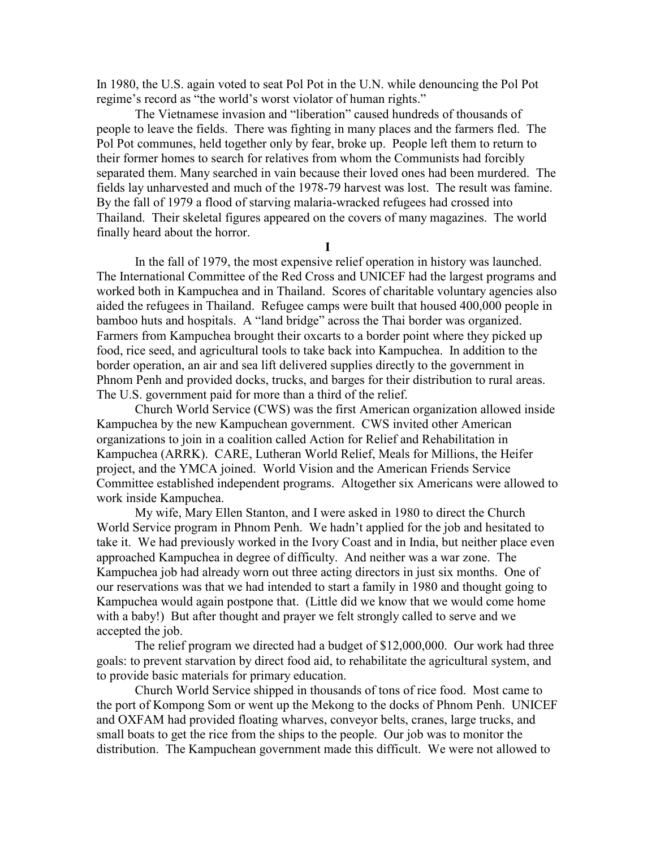In 1980, the U.S. again voted to seat Pol Pot in the U.N. while denouncing the Pol Pot regime's record as "the world's worst violator of human rights."

 The Vietnamese invasion and "liberation" caused hundreds of thousands of people to leave the fields. There was fighting in many places and the farmers fled. The Pol Pot communes, held together only by fear, broke up. People left them to return to their former homes to search for relatives from whom the Communists had forcibly separated them. Many searched in vain because their loved ones had been murdered. The fields lay unharvested and much of the 1978-79 harvest was lost. The result was famine. By the fall of 1979 a flood of starving malaria-wracked refugees had crossed into Thailand. Their skeletal figures appeared on the covers of many magazines. The world finally heard about the horror.

I

 In the fall of 1979, the most expensive relief operation in history was launched. The International Committee of the Red Cross and UNICEF had the largest programs and worked both in Kampuchea and in Thailand. Scores of charitable voluntary agencies also aided the refugees in Thailand. Refugee camps were built that housed 400,000 people in bamboo huts and hospitals. A "land bridge" across the Thai border was organized. Farmers from Kampuchea brought their oxcarts to a border point where they picked up food, rice seed, and agricultural tools to take back into Kampuchea. In addition to the border operation, an air and sea lift delivered supplies directly to the government in Phnom Penh and provided docks, trucks, and barges for their distribution to rural areas. The U.S. government paid for more than a third of the relief.

 Church World Service (CWS) was the first American organization allowed inside Kampuchea by the new Kampuchean government. CWS invited other American organizations to join in a coalition called Action for Relief and Rehabilitation in Kampuchea (ARRK). CARE, Lutheran World Relief, Meals for Millions, the Heifer project, and the YMCA joined. World Vision and the American Friends Service Committee established independent programs. Altogether six Americans were allowed to work inside Kampuchea.

 My wife, Mary Ellen Stanton, and I were asked in 1980 to direct the Church World Service program in Phnom Penh. We hadn't applied for the job and hesitated to take it. We had previously worked in the Ivory Coast and in India, but neither place even approached Kampuchea in degree of difficulty. And neither was a war zone. The Kampuchea job had already worn out three acting directors in just six months. One of our reservations was that we had intended to start a family in 1980 and thought going to Kampuchea would again postpone that. (Little did we know that we would come home with a baby!) But after thought and prayer we felt strongly called to serve and we accepted the job.

 The relief program we directed had a budget of \$12,000,000. Our work had three goals: to prevent starvation by direct food aid, to rehabilitate the agricultural system, and to provide basic materials for primary education.

 Church World Service shipped in thousands of tons of rice food. Most came to the port of Kompong Som or went up the Mekong to the docks of Phnom Penh. UNICEF and OXFAM had provided floating wharves, conveyor belts, cranes, large trucks, and small boats to get the rice from the ships to the people. Our job was to monitor the distribution. The Kampuchean government made this difficult. We were not allowed to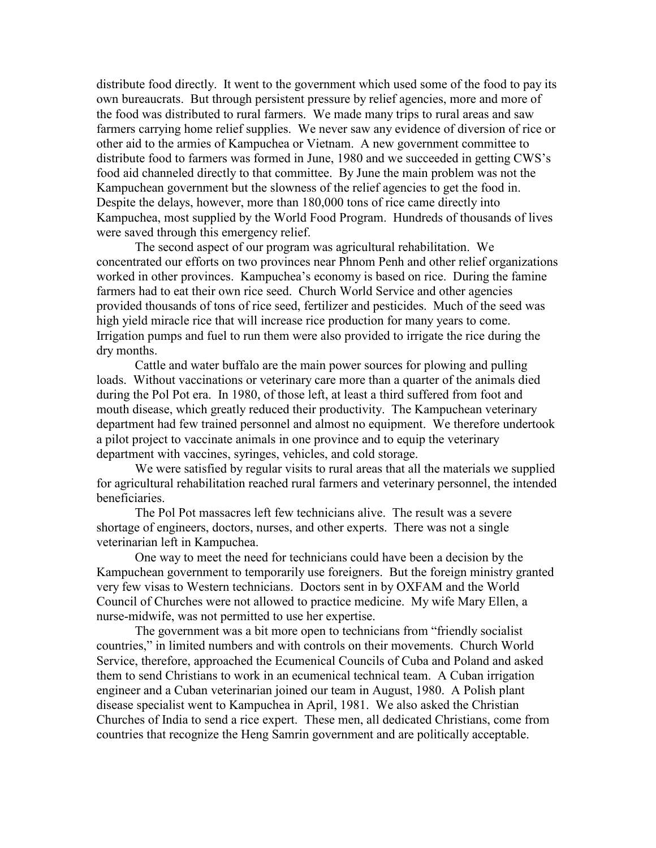distribute food directly. It went to the government which used some of the food to pay its own bureaucrats. But through persistent pressure by relief agencies, more and more of the food was distributed to rural farmers. We made many trips to rural areas and saw farmers carrying home relief supplies. We never saw any evidence of diversion of rice or other aid to the armies of Kampuchea or Vietnam. A new government committee to distribute food to farmers was formed in June, 1980 and we succeeded in getting CWS's food aid channeled directly to that committee. By June the main problem was not the Kampuchean government but the slowness of the relief agencies to get the food in. Despite the delays, however, more than 180,000 tons of rice came directly into Kampuchea, most supplied by the World Food Program. Hundreds of thousands of lives were saved through this emergency relief.

 The second aspect of our program was agricultural rehabilitation. We concentrated our efforts on two provinces near Phnom Penh and other relief organizations worked in other provinces. Kampuchea's economy is based on rice. During the famine farmers had to eat their own rice seed. Church World Service and other agencies provided thousands of tons of rice seed, fertilizer and pesticides. Much of the seed was high yield miracle rice that will increase rice production for many years to come. Irrigation pumps and fuel to run them were also provided to irrigate the rice during the dry months.

 Cattle and water buffalo are the main power sources for plowing and pulling loads. Without vaccinations or veterinary care more than a quarter of the animals died during the Pol Pot era. In 1980, of those left, at least a third suffered from foot and mouth disease, which greatly reduced their productivity. The Kampuchean veterinary department had few trained personnel and almost no equipment. We therefore undertook a pilot project to vaccinate animals in one province and to equip the veterinary department with vaccines, syringes, vehicles, and cold storage.

 We were satisfied by regular visits to rural areas that all the materials we supplied for agricultural rehabilitation reached rural farmers and veterinary personnel, the intended beneficiaries.

 The Pol Pot massacres left few technicians alive. The result was a severe shortage of engineers, doctors, nurses, and other experts. There was not a single veterinarian left in Kampuchea.

 One way to meet the need for technicians could have been a decision by the Kampuchean government to temporarily use foreigners. But the foreign ministry granted very few visas to Western technicians. Doctors sent in by OXFAM and the World Council of Churches were not allowed to practice medicine. My wife Mary Ellen, a nurse-midwife, was not permitted to use her expertise.

 The government was a bit more open to technicians from "friendly socialist countries," in limited numbers and with controls on their movements. Church World Service, therefore, approached the Ecumenical Councils of Cuba and Poland and asked them to send Christians to work in an ecumenical technical team. A Cuban irrigation engineer and a Cuban veterinarian joined our team in August, 1980. A Polish plant disease specialist went to Kampuchea in April, 1981. We also asked the Christian Churches of India to send a rice expert. These men, all dedicated Christians, come from countries that recognize the Heng Samrin government and are politically acceptable.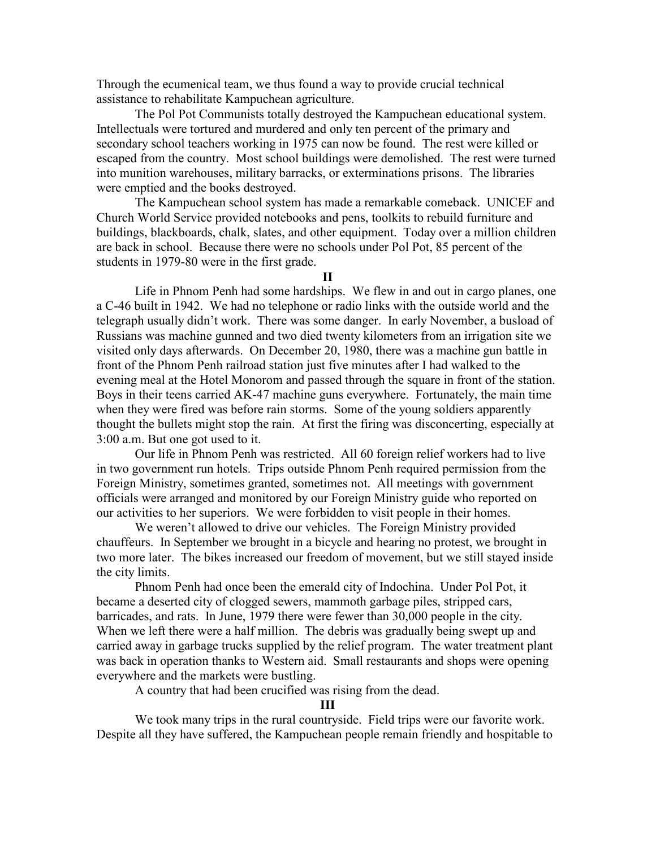Through the ecumenical team, we thus found a way to provide crucial technical assistance to rehabilitate Kampuchean agriculture.

 The Pol Pot Communists totally destroyed the Kampuchean educational system. Intellectuals were tortured and murdered and only ten percent of the primary and secondary school teachers working in 1975 can now be found. The rest were killed or escaped from the country. Most school buildings were demolished. The rest were turned into munition warehouses, military barracks, or exterminations prisons. The libraries were emptied and the books destroyed.

 The Kampuchean school system has made a remarkable comeback. UNICEF and Church World Service provided notebooks and pens, toolkits to rebuild furniture and buildings, blackboards, chalk, slates, and other equipment. Today over a million children are back in school. Because there were no schools under Pol Pot, 85 percent of the students in 1979-80 were in the first grade.

II

Life in Phnom Penh had some hardships. We flew in and out in cargo planes, one a C-46 built in 1942. We had no telephone or radio links with the outside world and the telegraph usually didn't work. There was some danger. In early November, a busload of Russians was machine gunned and two died twenty kilometers from an irrigation site we visited only days afterwards. On December 20, 1980, there was a machine gun battle in front of the Phnom Penh railroad station just five minutes after I had walked to the evening meal at the Hotel Monorom and passed through the square in front of the station. Boys in their teens carried AK-47 machine guns everywhere. Fortunately, the main time when they were fired was before rain storms. Some of the young soldiers apparently thought the bullets might stop the rain. At first the firing was disconcerting, especially at 3:00 a.m. But one got used to it.

 Our life in Phnom Penh was restricted. All 60 foreign relief workers had to live in two government run hotels. Trips outside Phnom Penh required permission from the Foreign Ministry, sometimes granted, sometimes not. All meetings with government officials were arranged and monitored by our Foreign Ministry guide who reported on our activities to her superiors. We were forbidden to visit people in their homes.

 We weren't allowed to drive our vehicles. The Foreign Ministry provided chauffeurs. In September we brought in a bicycle and hearing no protest, we brought in two more later. The bikes increased our freedom of movement, but we still stayed inside the city limits.

 Phnom Penh had once been the emerald city of Indochina. Under Pol Pot, it became a deserted city of clogged sewers, mammoth garbage piles, stripped cars, barricades, and rats. In June, 1979 there were fewer than 30,000 people in the city. When we left there were a half million. The debris was gradually being swept up and carried away in garbage trucks supplied by the relief program. The water treatment plant was back in operation thanks to Western aid. Small restaurants and shops were opening everywhere and the markets were bustling.

A country that had been crucified was rising from the dead.

## III

 We took many trips in the rural countryside. Field trips were our favorite work. Despite all they have suffered, the Kampuchean people remain friendly and hospitable to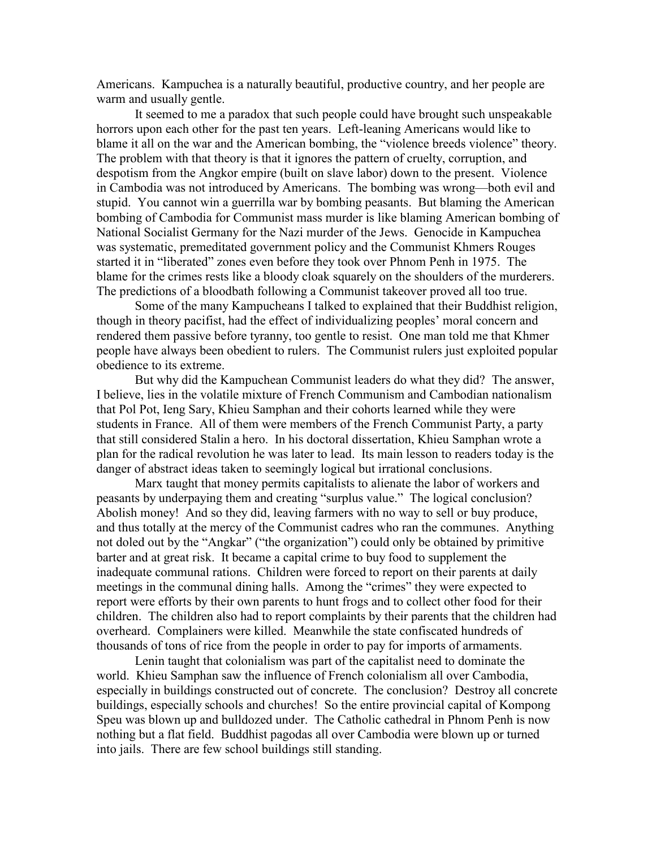Americans. Kampuchea is a naturally beautiful, productive country, and her people are warm and usually gentle.

 It seemed to me a paradox that such people could have brought such unspeakable horrors upon each other for the past ten years. Left-leaning Americans would like to blame it all on the war and the American bombing, the "violence breeds violence" theory. The problem with that theory is that it ignores the pattern of cruelty, corruption, and despotism from the Angkor empire (built on slave labor) down to the present. Violence in Cambodia was not introduced by Americans. The bombing was wrong—both evil and stupid. You cannot win a guerrilla war by bombing peasants. But blaming the American bombing of Cambodia for Communist mass murder is like blaming American bombing of National Socialist Germany for the Nazi murder of the Jews. Genocide in Kampuchea was systematic, premeditated government policy and the Communist Khmers Rouges started it in "liberated" zones even before they took over Phnom Penh in 1975. The blame for the crimes rests like a bloody cloak squarely on the shoulders of the murderers. The predictions of a bloodbath following a Communist takeover proved all too true.

 Some of the many Kampucheans I talked to explained that their Buddhist religion, though in theory pacifist, had the effect of individualizing peoples' moral concern and rendered them passive before tyranny, too gentle to resist. One man told me that Khmer people have always been obedient to rulers. The Communist rulers just exploited popular obedience to its extreme.

 But why did the Kampuchean Communist leaders do what they did? The answer, I believe, lies in the volatile mixture of French Communism and Cambodian nationalism that Pol Pot, Ieng Sary, Khieu Samphan and their cohorts learned while they were students in France. All of them were members of the French Communist Party, a party that still considered Stalin a hero. In his doctoral dissertation, Khieu Samphan wrote a plan for the radical revolution he was later to lead. Its main lesson to readers today is the danger of abstract ideas taken to seemingly logical but irrational conclusions.

 Marx taught that money permits capitalists to alienate the labor of workers and peasants by underpaying them and creating "surplus value." The logical conclusion? Abolish money! And so they did, leaving farmers with no way to sell or buy produce, and thus totally at the mercy of the Communist cadres who ran the communes. Anything not doled out by the "Angkar" ("the organization") could only be obtained by primitive barter and at great risk. It became a capital crime to buy food to supplement the inadequate communal rations. Children were forced to report on their parents at daily meetings in the communal dining halls. Among the "crimes" they were expected to report were efforts by their own parents to hunt frogs and to collect other food for their children. The children also had to report complaints by their parents that the children had overheard. Complainers were killed. Meanwhile the state confiscated hundreds of thousands of tons of rice from the people in order to pay for imports of armaments.

 Lenin taught that colonialism was part of the capitalist need to dominate the world. Khieu Samphan saw the influence of French colonialism all over Cambodia, especially in buildings constructed out of concrete. The conclusion? Destroy all concrete buildings, especially schools and churches! So the entire provincial capital of Kompong Speu was blown up and bulldozed under. The Catholic cathedral in Phnom Penh is now nothing but a flat field. Buddhist pagodas all over Cambodia were blown up or turned into jails. There are few school buildings still standing.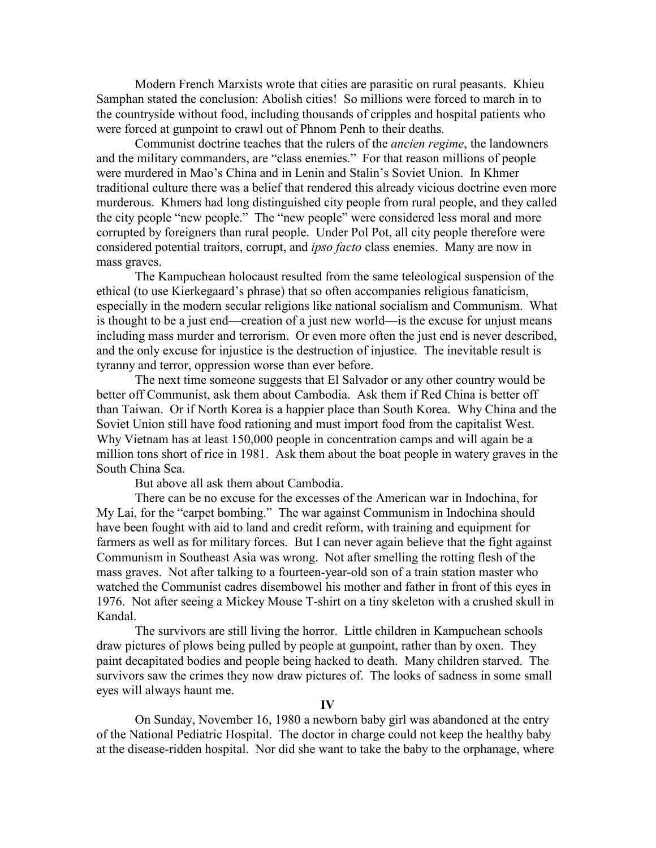Modern French Marxists wrote that cities are parasitic on rural peasants. Khieu Samphan stated the conclusion: Abolish cities! So millions were forced to march in to the countryside without food, including thousands of cripples and hospital patients who were forced at gunpoint to crawl out of Phnom Penh to their deaths.

 Communist doctrine teaches that the rulers of the ancien regime, the landowners and the military commanders, are "class enemies." For that reason millions of people were murdered in Mao's China and in Lenin and Stalin's Soviet Union. In Khmer traditional culture there was a belief that rendered this already vicious doctrine even more murderous. Khmers had long distinguished city people from rural people, and they called the city people "new people." The "new people" were considered less moral and more corrupted by foreigners than rural people. Under Pol Pot, all city people therefore were considered potential traitors, corrupt, and ipso facto class enemies. Many are now in mass graves.

 The Kampuchean holocaust resulted from the same teleological suspension of the ethical (to use Kierkegaard's phrase) that so often accompanies religious fanaticism, especially in the modern secular religions like national socialism and Communism. What is thought to be a just end—creation of a just new world—is the excuse for unjust means including mass murder and terrorism. Or even more often the just end is never described, and the only excuse for injustice is the destruction of injustice. The inevitable result is tyranny and terror, oppression worse than ever before.

 The next time someone suggests that El Salvador or any other country would be better off Communist, ask them about Cambodia. Ask them if Red China is better off than Taiwan. Or if North Korea is a happier place than South Korea. Why China and the Soviet Union still have food rationing and must import food from the capitalist West. Why Vietnam has at least 150,000 people in concentration camps and will again be a million tons short of rice in 1981. Ask them about the boat people in watery graves in the South China Sea.

But above all ask them about Cambodia.

 There can be no excuse for the excesses of the American war in Indochina, for My Lai, for the "carpet bombing." The war against Communism in Indochina should have been fought with aid to land and credit reform, with training and equipment for farmers as well as for military forces. But I can never again believe that the fight against Communism in Southeast Asia was wrong. Not after smelling the rotting flesh of the mass graves. Not after talking to a fourteen-year-old son of a train station master who watched the Communist cadres disembowel his mother and father in front of this eyes in 1976. Not after seeing a Mickey Mouse T-shirt on a tiny skeleton with a crushed skull in Kandal.

 The survivors are still living the horror. Little children in Kampuchean schools draw pictures of plows being pulled by people at gunpoint, rather than by oxen. They paint decapitated bodies and people being hacked to death. Many children starved. The survivors saw the crimes they now draw pictures of. The looks of sadness in some small eyes will always haunt me.

## IV

 On Sunday, November 16, 1980 a newborn baby girl was abandoned at the entry of the National Pediatric Hospital. The doctor in charge could not keep the healthy baby at the disease-ridden hospital. Nor did she want to take the baby to the orphanage, where